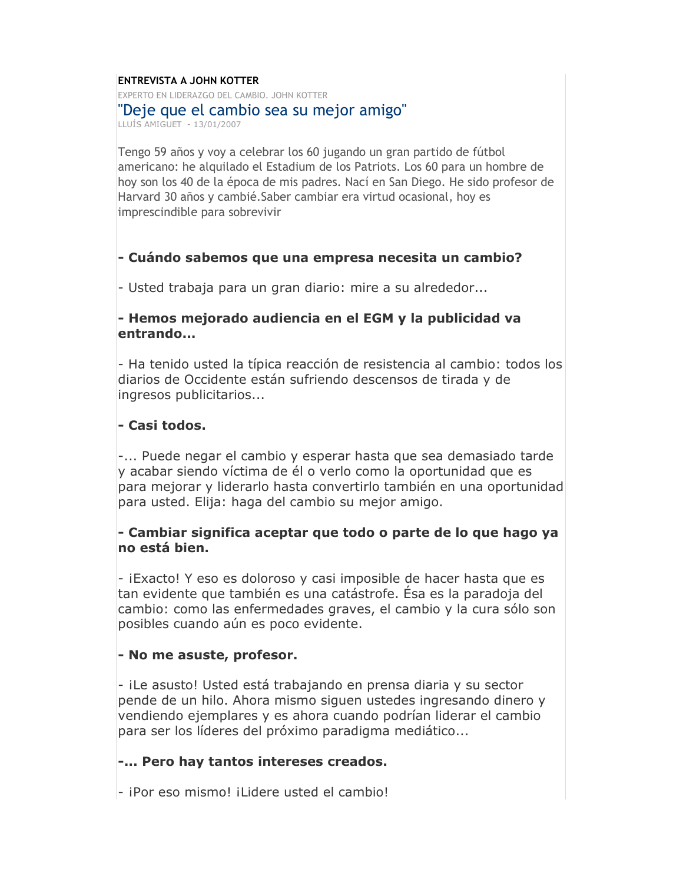#### **FNTRFVISTA A JOHN KOTTFR**

EXPERTO EN LIDERAZGO DEL CAMBIO, JOHN KOTTER

#### "Deje que el cambio sea su mejor amigo"

LLUÍS AMIGUET - 13/01/2007

Tengo 59 años y voy a celebrar los 60 jugando un gran partido de fútbol americano: he alguilado el Estadium de los Patriots. Los 60 para un hombre de hoy son los 40 de la época de mis padres. Nací en San Diego. He sido profesor de Harvard 30 años y cambié. Saber cambiar era virtud ocasional, hoy es imprescindible para sobrevivir

### - Cuándo sabemos que una empresa necesita un cambio?

- Usted trabaja para un gran diario: mire a su alrededor...

#### - Hemos mejorado audiencia en el EGM y la publicidad va entrando...

- Ha tenido usted la típica reacción de resistencia al cambio; todos los diarios de Occidente están sufriendo descensos de tirada y de ingresos publicitarios...

### - Casi todos.

-... Puede negar el cambio y esperar hasta que sea demasiado tarde y acabar siendo víctima de él o verlo como la oportunidad que es para mejorar y liderarlo hasta convertirlo también en una oportunidad para usted. Elija: haga del cambio su mejor amigo.

#### - Cambiar significa aceptar que todo o parte de lo que hago ya no está bien.

- iExacto! Y eso es doloroso y casi imposible de hacer hasta que es tan evidente que también es una catástrofe. Ésa es la paradoja del cambio: como las enfermedades graves, el cambio y la cura sólo son posibles cuando aún es poco evidente.

#### - No me asuste, profesor.

- iLe asusto! Usted está trabajando en prensa diaria y su sector pende de un hilo. Ahora mismo siguen ustedes ingresando dinero y vendiendo ejemplares y es ahora cuando podrían liderar el cambio para ser los líderes del próximo paradigma mediático...

#### -... Pero hay tantos intereses creados.

- iPor eso mismo! iLidere usted el cambio!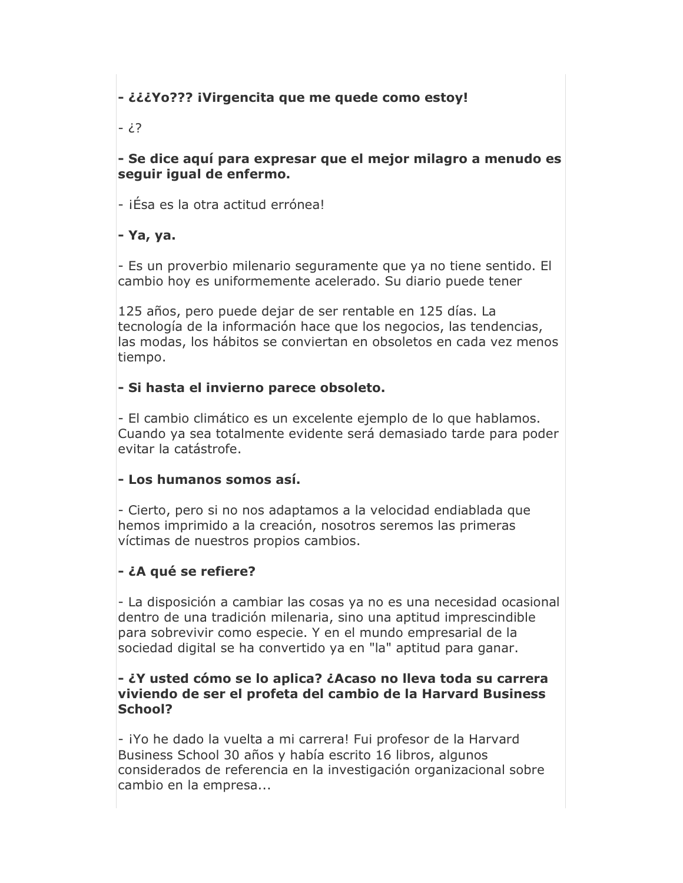## - ¿¿¿Yo??? iVirgencita que me quede como estoy!

?¿ -

- Se dice aquí para expresar que el mejor milagro a menudo es sequir iqual de enfermo.

- iÉsa es la otra actitud errónea!

## - Ya, ya.

- Es un proverbio milenario seguramente que ya no tiene sentido. El cambio hoy es uniformemente acelerado. Su diario puede tener

125 años, pero puede dejar de ser rentable en 125 días. La tecnología de la información hace que los negocios, las tendencias, las modas, los hábitos se conviertan en obsoletos en cada vez menos tiempo.

## - Si hasta el invierno parece obsoleto.

- El cambio climático es un excelente ejemplo de lo que hablamos. Cuando ya sea totalmente evidente será demasiado tarde para poder evitar la catástrofe.

### - Los humanos somos así.

- Cierto, pero si no nos adaptamos a la velocidad endiablada que hemos imprimido a la creación, nosotros seremos las primeras víctimas de nuestros propios cambios.

## - ¿A qué se refiere?

- La disposición a cambiar las cosas ya no es una necesidad ocasional dentro de una tradición milenaria, sino una aptitud imprescindible para sobrevivir como especie. Y en el mundo empresarial de la sociedad digital se ha convertido ya en "la" aptitud para ganar.

#### - ¿Y usted cómo se lo aplica? ¿Acaso no lleva toda su carrera viviendo de ser el profeta del cambio de la Harvard Business School?

- iYo he dado la vuelta a mi carrera! Fui profesor de la Harvard Business School 30 años y había escrito 16 libros, algunos considerados de referencia en la investigación organizacional sobre cambio en la empresa...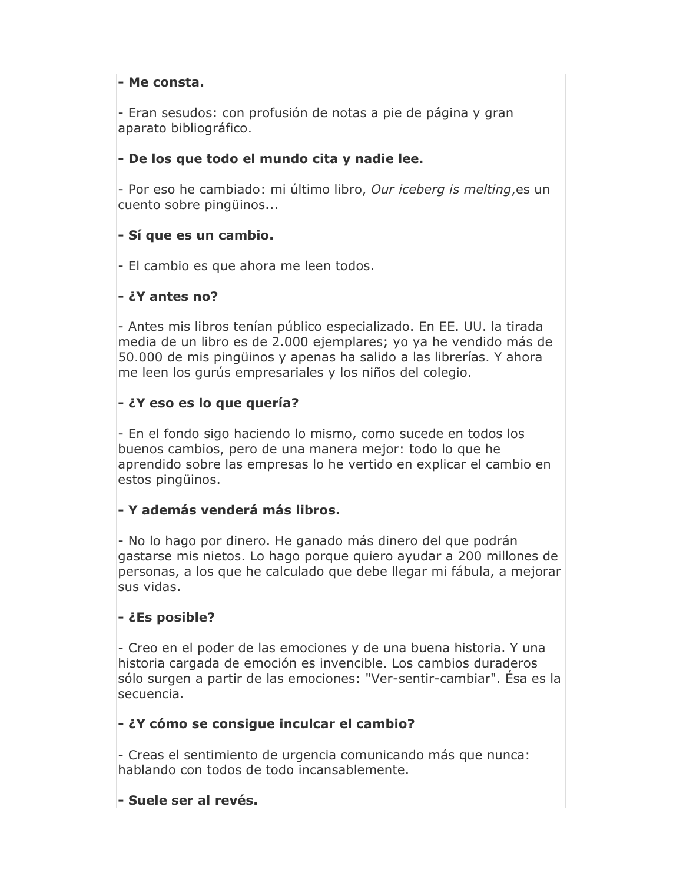### - Me consta.

- Eran sesudos: con profusión de notas a pie de página y gran aparato bibliográfico.

## - De los que todo el mundo cita y nadie lee.

- Por eso he cambiado: mi último libro, Our iceberg is melting, es un cuento sobre pingüinos...

## - Sí que es un cambio.

- El cambio es que ahora me leen todos.

### - ¿Y antes no?

- Antes mis libros tenían público especializado. En EE. UU. la tirada media de un libro es de 2.000 ejemplares; yo ya he vendido más de 50.000 de mis pingüinos y apenas ha salido a las librerías. Y ahora me leen los qurús empresariales y los niños del colegio.

## - ¿Y eso es lo que quería?

- En el fondo sigo haciendo lo mismo, como sucede en todos los buenos cambios, pero de una manera mejor: todo lo que he aprendido sobre las empresas lo he vertido en explicar el cambio en estos pingüinos.

### - Y además venderá más libros.

- No lo hago por dinero. He ganado más dinero del que podrán gastarse mis nietos. Lo hago porque quiero ayudar a 200 millones de personas, a los que he calculado que debe llegar mi fábula, a mejorar sus vidas.

### - ¿Es posible?

- Creo en el poder de las emociones y de una buena historia. Y una historia cargada de emoción es invencible. Los cambios duraderos sólo surgen a partir de las emociones: "Ver-sentir-cambiar". Ésa es la secuencia.

### - ¿Y cómo se consigue inculcar el cambio?

- Creas el sentimiento de urgencia comunicando más que nunca: hablando con todos de todo incansablemente.

### - Suele ser al revés.